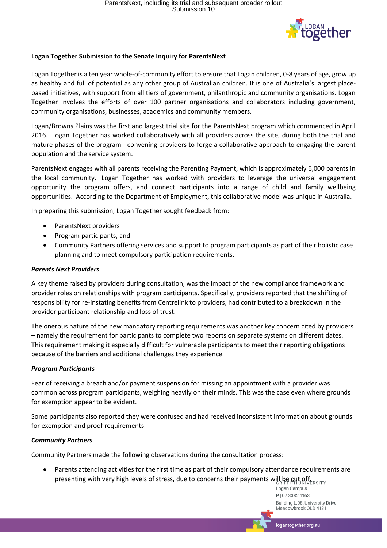

# **Logan Together Submission to the Senate Inquiry for ParentsNext**

Logan Together is a ten year whole-of-community effort to ensure that Logan children, 0-8 years of age, grow up as healthy and full of potential as any other group of Australian children. It is one of Australia's largest placebased initiatives, with support from all tiers of government, philanthropic and community organisations. Logan Together involves the efforts of over 100 partner organisations and collaborators including government, community organisations, businesses, academics and community members.

Logan/Browns Plains was the first and largest trial site for the ParentsNext program which commenced in April 2016. Logan Together has worked collaboratively with all providers across the site, during both the trial and mature phases of the program - convening providers to forge a collaborative approach to engaging the parent population and the service system.

ParentsNext engages with all parents receiving the Parenting Payment, which is approximately 6,000 parents in the local community. Logan Together has worked with providers to leverage the universal engagement opportunity the program offers, and connect participants into a range of child and family wellbeing opportunities. According to the Department of Employment, this collaborative model was unique in Australia.

In preparing this submission, Logan Together sought feedback from:

- ParentsNext providers
- Program participants, and
- Community Partners offering services and support to program participants as part of their holistic case planning and to meet compulsory participation requirements.

### *Parents Next Providers*

A key theme raised by providers during consultation, was the impact of the new compliance framework and provider roles on relationships with program participants. Specifically, providers reported that the shifting of responsibility for re-instating benefits from Centrelink to providers, had contributed to a breakdown in the provider participant relationship and loss of trust.

The onerous nature of the new mandatory reporting requirements was another key concern cited by providers – namely the requirement for participants to complete two reports on separate systems on different dates. This requirement making it especially difficult for vulnerable participants to meet their reporting obligations because of the barriers and additional challenges they experience.

## *Program Participants*

Fear of receiving a breach and/or payment suspension for missing an appointment with a provider was common across program participants, weighing heavily on their minds. This was the case even where grounds for exemption appear to be evident.

Some participants also reported they were confused and had received inconsistent information about grounds for exemption and proof requirements.

## *Community Partners*

Community Partners made the following observations during the consultation process:

 Parents attending activities for the first time as part of their compulsory attendance requirements are presenting with very high levels of stress, due to concerns their payments will be cut offered the

Logan Campus P | 07 3382 1163 Building L.08, University Drive Meadowbrook QLD 4131